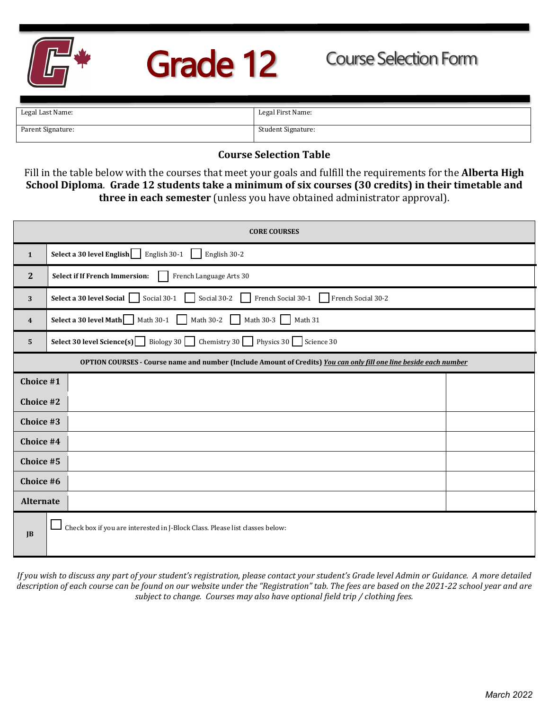

## Grade 12

| Legal Last Name:  | Legal First Name:  |
|-------------------|--------------------|
|                   |                    |
|                   |                    |
| Parent Signature: | Student Signature: |
|                   |                    |
|                   |                    |

## **Course Selection Table**

Fill in the table below with the courses that meet your goals and fulfill the requirements for the **Alberta High School Diploma**. **Grade 12 students take a minimum of six courses (30 credits) in their timetable and three in each semester** (unless you have obtained administrator approval).

| <b>CORE COURSES</b>                                                                                               |                                                                                                                                    |  |  |  |  |  |
|-------------------------------------------------------------------------------------------------------------------|------------------------------------------------------------------------------------------------------------------------------------|--|--|--|--|--|
| $\mathbf{1}$                                                                                                      | English 30-1<br>Select a 30 level English<br>English 30-2                                                                          |  |  |  |  |  |
| $\mathbf{2}$                                                                                                      | French Language Arts 30<br><b>Select if If French Immersion:</b>                                                                   |  |  |  |  |  |
| 3                                                                                                                 | Social 30-1<br>Social 30-2<br>French Social 30-1<br>Select a 30 level Social<br>French Social 30-2<br>$\mathbf{I}$<br>$\mathbf{1}$ |  |  |  |  |  |
| $\boldsymbol{4}$                                                                                                  | <b>Select a 30 level Math</b> Math 30-1 Math 30-2 Math 30-3 Math 31                                                                |  |  |  |  |  |
| 5                                                                                                                 | <b>Select 30 level Science(s)</b> Biology 30 Chemistry 30 Physics 30 Science 30                                                    |  |  |  |  |  |
| OPTION COURSES - Course name and number (Include Amount of Credits) You can only fill one line beside each number |                                                                                                                                    |  |  |  |  |  |
| Choice #1                                                                                                         |                                                                                                                                    |  |  |  |  |  |
| Choice #2                                                                                                         |                                                                                                                                    |  |  |  |  |  |
| Choice #3                                                                                                         |                                                                                                                                    |  |  |  |  |  |
| Choice #4                                                                                                         |                                                                                                                                    |  |  |  |  |  |
| Choice #5                                                                                                         |                                                                                                                                    |  |  |  |  |  |
| Choice #6                                                                                                         |                                                                                                                                    |  |  |  |  |  |
| <b>Alternate</b>                                                                                                  |                                                                                                                                    |  |  |  |  |  |
| $\mathbf{J}$                                                                                                      | Check box if you are interested in J-Block Class. Please list classes below:                                                       |  |  |  |  |  |

*If you wish to discuss any part of your student's registration, please contact your student's Grade level Admin or Guidance. A more detailed description of each course can be found on our website under the "Registration" tab. The fees are based on the 2021-22 school year and are subject to change. Courses may also have optional field trip / clothing fees.*